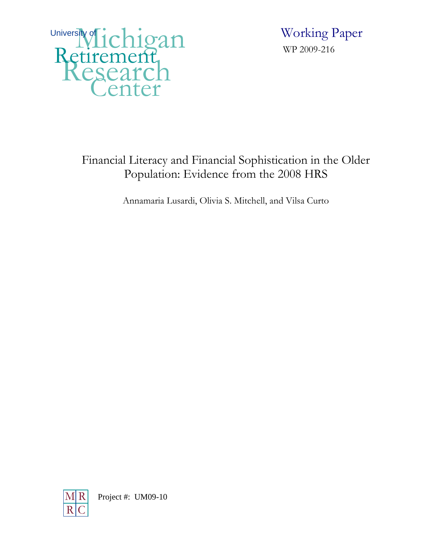University fichigan Retirement Center

 Working Paper WP 2009-216

# Financial Literacy and Financial Sophistication in the Older Population: Evidence from the 2008 HRS

Annamaria Lusardi, Olivia S. Mitchell, and Vilsa Curto

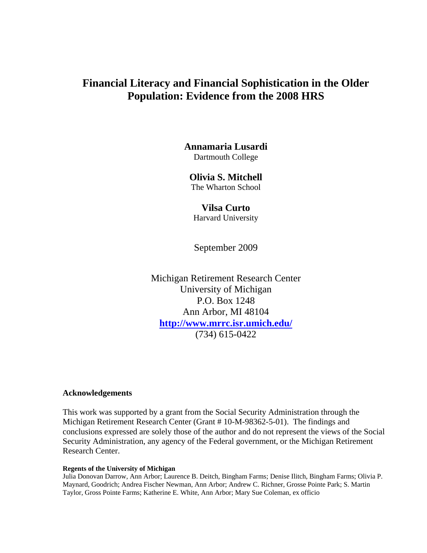# **Financial Literacy and Financial Sophistication in the Older Population: Evidence from the 2008 HRS**

## **Annamaria Lusardi**  Dartmouth College

# **Olivia S. Mitchell**

The Wharton School

## **Vilsa Curto**

Harvard University

September 2009

Michigan Retirement Research Center University of Michigan P.O. Box 1248 Ann Arbor, MI 48104 **http://www.mrrc.isr.umich.edu/** (734) 615-0422

## **Acknowledgements**

This work was supported by a grant from the Social Security Administration through the Michigan Retirement Research Center (Grant # 10-M-98362-5-01). The findings and conclusions expressed are solely those of the author and do not represent the views of the Social Security Administration, any agency of the Federal government, or the Michigan Retirement Research Center.

#### **Regents of the University of Michigan**

Julia Donovan Darrow, Ann Arbor; Laurence B. Deitch, Bingham Farms; Denise Ilitch, Bingham Farms; Olivia P. Maynard, Goodrich; Andrea Fischer Newman, Ann Arbor; Andrew C. Richner, Grosse Pointe Park; S. Martin Taylor, Gross Pointe Farms; Katherine E. White, Ann Arbor; Mary Sue Coleman, ex officio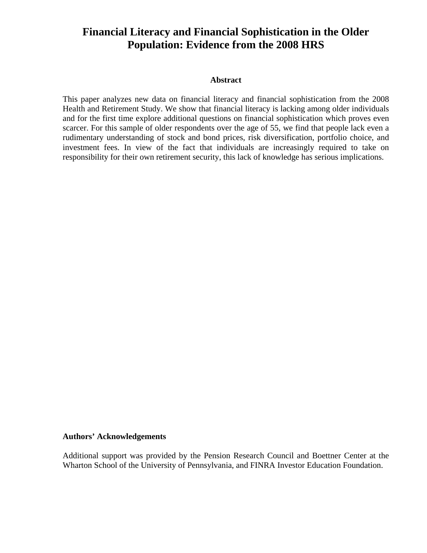# **Financial Literacy and Financial Sophistication in the Older Population: Evidence from the 2008 HRS**

#### **Abstract**

This paper analyzes new data on financial literacy and financial sophistication from the 2008 Health and Retirement Study. We show that financial literacy is lacking among older individuals and for the first time explore additional questions on financial sophistication which proves even scarcer. For this sample of older respondents over the age of 55, we find that people lack even a rudimentary understanding of stock and bond prices, risk diversification, portfolio choice, and investment fees. In view of the fact that individuals are increasingly required to take on responsibility for their own retirement security, this lack of knowledge has serious implications.

#### **Authors' Acknowledgements**

Additional support was provided by the Pension Research Council and Boettner Center at the Wharton School of the University of Pennsylvania, and FINRA Investor Education Foundation.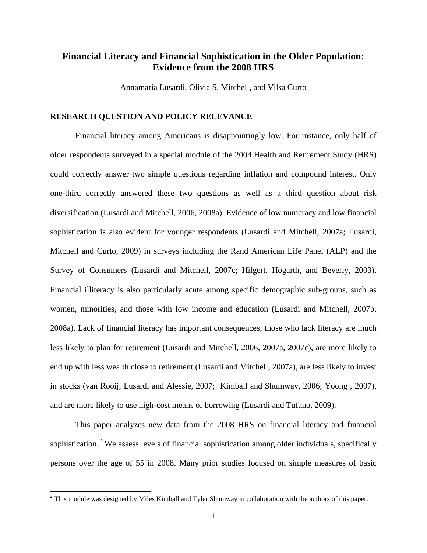## **Financial Literacy and Financial Sophistication in the Older Population: Evidence from the 2008 HRS**

Annamaria Lusardi, Olivia S. Mitchell, and Vilsa Curto

### **RESEARCH QUESTION AND POLICY RELEVANCE**

 Financial literacy among Americans is disappointingly low. For instance, only half of older respondents surveyed in a special module of the 2004 Health and Retirement Study (HRS) could correctly answer two simple questions regarding inflation and compound interest. Only one-third correctly answered these two questions as well as a third question about risk diversification (Lusardi and Mitchell, 2006, 2008a). Evidence of low numeracy and low financial sophistication is also evident for younger respondents (Lusardi and Mitchell, 2007a; Lusardi, Mitchell and Curto, 2009) in surveys including the Rand American Life Panel (ALP) and the Survey of Consumers (Lusardi and Mitchell, 2007c; Hilgert, Hogarth, and Beverly, 2003). Financial illiteracy is also particularly acute among specific demographic sub-groups, such as women, minorities, and those with low income and education (Lusardi and Mitchell, 2007b, 2008a). Lack of financial literacy has important consequences; those who lack literacy are much less likely to plan for retirement (Lusardi and Mitchell, 2006, 2007a, 2007c), are more likely to end up with less wealth close to retirement (Lusardi and Mitchell, 2007a), are less likely to invest in stocks (van Rooij, Lusardi and Alessie, 2007; Kimball and Shumway, 2006; Yoong , 2007), and are more likely to use high-cost means of borrowing (Lusardi and Tufano, 2009).

 This paper analyzes new data from the 2008 HRS on financial literacy and financial sophistication.<sup>[2](#page-3-0)</sup> We assess levels of financial sophistication among older individuals, specifically persons over the age of 55 in 2008. Many prior studies focused on simple measures of basic

 $\overline{a}$ 

<span id="page-3-0"></span> $2$  This module was designed by Miles Kimball and Tyler Shumway in collaboration with the authors of this paper.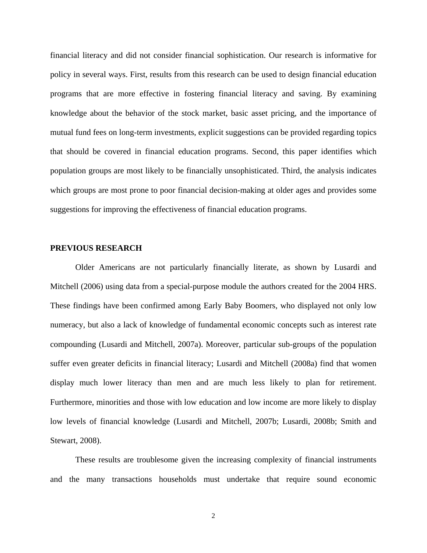financial literacy and did not consider financial sophistication. Our research is informative for policy in several ways. First, results from this research can be used to design financial education programs that are more effective in fostering financial literacy and saving. By examining knowledge about the behavior of the stock market, basic asset pricing, and the importance of mutual fund fees on long-term investments, explicit suggestions can be provided regarding topics that should be covered in financial education programs. Second, this paper identifies which population groups are most likely to be financially unsophisticated. Third, the analysis indicates which groups are most prone to poor financial decision-making at older ages and provides some suggestions for improving the effectiveness of financial education programs.

#### **PREVIOUS RESEARCH**

 Older Americans are not particularly financially literate, as shown by Lusardi and Mitchell (2006) using data from a special-purpose module the authors created for the 2004 HRS. These findings have been confirmed among Early Baby Boomers, who displayed not only low numeracy, but also a lack of knowledge of fundamental economic concepts such as interest rate compounding (Lusardi and Mitchell, 2007a). Moreover, particular sub-groups of the population suffer even greater deficits in financial literacy; Lusardi and Mitchell (2008a) find that women display much lower literacy than men and are much less likely to plan for retirement. Furthermore, minorities and those with low education and low income are more likely to display low levels of financial knowledge (Lusardi and Mitchell, 2007b; Lusardi, 2008b; Smith and Stewart, 2008).

 These results are troublesome given the increasing complexity of financial instruments and the many transactions households must undertake that require sound economic

2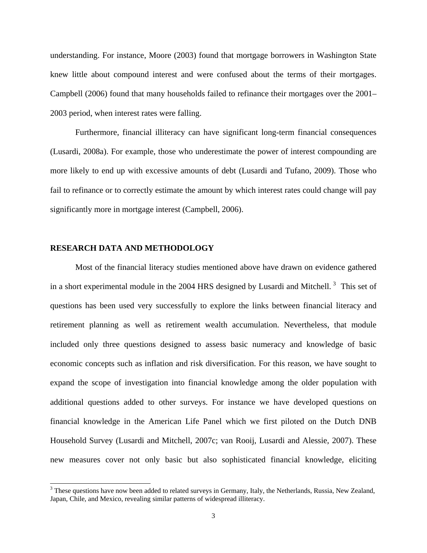understanding. For instance, Moore (2003) found that mortgage borrowers in Washington State knew little about compound interest and were confused about the terms of their mortgages. Campbell (2006) found that many households failed to refinance their mortgages over the 2001– 2003 period, when interest rates were falling.

 Furthermore, financial illiteracy can have significant long-term financial consequences (Lusardi, 2008a). For example, those who underestimate the power of interest compounding are more likely to end up with excessive amounts of debt (Lusardi and Tufano, 2009). Those who fail to refinance or to correctly estimate the amount by which interest rates could change will pay significantly more in mortgage interest (Campbell, 2006).

#### **RESEARCH DATA AND METHODOLOGY**

 $\overline{a}$ 

 Most of the financial literacy studies mentioned above have drawn on evidence gathered in a short experimental module in the 2004 HRS designed by Lusardi and Mitchell.<sup>[3](#page-5-0)</sup> This set of questions has been used very successfully to explore the links between financial literacy and retirement planning as well as retirement wealth accumulation. Nevertheless, that module included only three questions designed to assess basic numeracy and knowledge of basic economic concepts such as inflation and risk diversification. For this reason, we have sought to expand the scope of investigation into financial knowledge among the older population with additional questions added to other surveys. For instance we have developed questions on financial knowledge in the American Life Panel which we first piloted on the Dutch DNB Household Survey (Lusardi and Mitchell, 2007c; van Rooij, Lusardi and Alessie, 2007). These new measures cover not only basic but also sophisticated financial knowledge, eliciting

<span id="page-5-0"></span> $3$  These questions have now been added to related surveys in Germany, Italy, the Netherlands, Russia, New Zealand, Japan, Chile, and Mexico, revealing similar patterns of widespread illiteracy.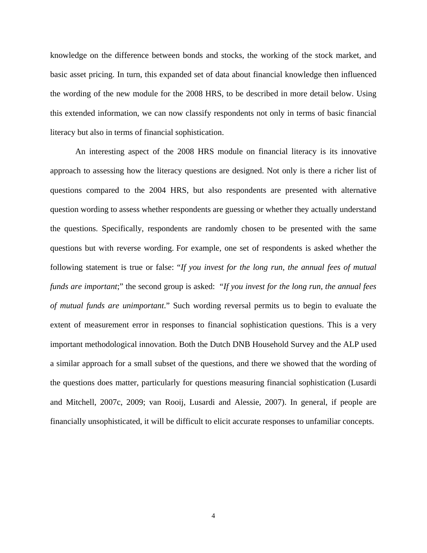knowledge on the difference between bonds and stocks, the working of the stock market, and basic asset pricing. In turn, this expanded set of data about financial knowledge then influenced the wording of the new module for the 2008 HRS, to be described in more detail below. Using this extended information, we can now classify respondents not only in terms of basic financial literacy but also in terms of financial sophistication.

 An interesting aspect of the 2008 HRS module on financial literacy is its innovative approach to assessing how the literacy questions are designed. Not only is there a richer list of questions compared to the 2004 HRS, but also respondents are presented with alternative question wording to assess whether respondents are guessing or whether they actually understand the questions. Specifically, respondents are randomly chosen to be presented with the same questions but with reverse wording. For example, one set of respondents is asked whether the following statement is true or false: "*If you invest for the long run, the annual fees of mutual funds are important*;" the second group is asked: "*If you invest for the long run, the annual fees of mutual funds are unimportant*." Such wording reversal permits us to begin to evaluate the extent of measurement error in responses to financial sophistication questions. This is a very important methodological innovation. Both the Dutch DNB Household Survey and the ALP used a similar approach for a small subset of the questions, and there we showed that the wording of the questions does matter, particularly for questions measuring financial sophistication (Lusardi and Mitchell, 2007c, 2009; van Rooij, Lusardi and Alessie, 2007). In general, if people are financially unsophisticated, it will be difficult to elicit accurate responses to unfamiliar concepts.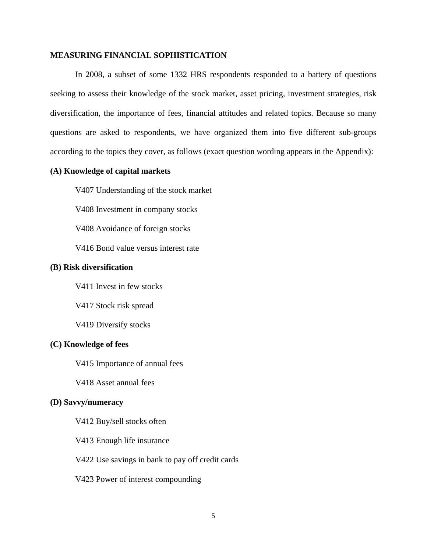#### **MEASURING FINANCIAL SOPHISTICATION**

 In 2008, a subset of some 1332 HRS respondents responded to a battery of questions seeking to assess their knowledge of the stock market, asset pricing, investment strategies, risk diversification, the importance of fees, financial attitudes and related topics. Because so many questions are asked to respondents, we have organized them into five different sub-groups according to the topics they cover, as follows (exact question wording appears in the Appendix):

## **(A) Knowledge of capital markets**

V407 Understanding of the stock market

V408 Investment in company stocks

V408 Avoidance of foreign stocks

V416 Bond value versus interest rate

#### **(B) Risk diversification**

V411 Invest in few stocks

V417 Stock risk spread

V419 Diversify stocks

#### **(C) Knowledge of fees**

V415 Importance of annual fees

V418 Asset annual fees

#### **(D) Savvy/numeracy**

V412 Buy/sell stocks often

- V413 Enough life insurance
- V422 Use savings in bank to pay off credit cards
- V423 Power of interest compounding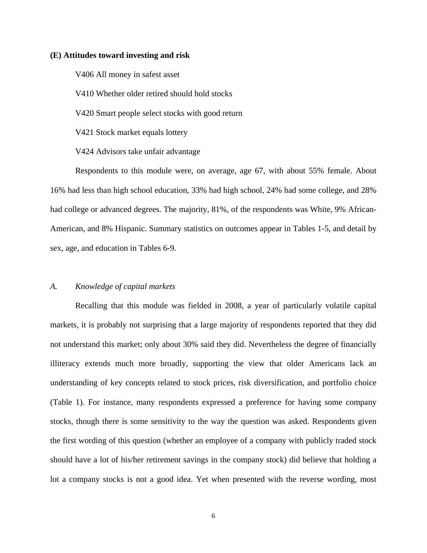#### **(E) Attitudes toward investing and risk**

 V406 All money in safest asset V410 Whether older retired should hold stocks V420 Smart people select stocks with good return V421 Stock market equals lottery V424 Advisors take unfair advantage

 Respondents to this module were, on average, age 67, with about 55% female. About 16% had less than high school education, 33% had high school, 24% had some college, and 28% had college or advanced degrees. The majority, 81%, of the respondents was White, 9% African-American, and 8% Hispanic. Summary statistics on outcomes appear in Tables 1-5, and detail by sex, age, and education in Tables 6-9.

#### *A. Knowledge of capital markets*

 Recalling that this module was fielded in 2008, a year of particularly volatile capital markets, it is probably not surprising that a large majority of respondents reported that they did not understand this market; only about 30% said they did. Nevertheless the degree of financially illiteracy extends much more broadly, supporting the view that older Americans lack an understanding of key concepts related to stock prices, risk diversification, and portfolio choice (Table 1). For instance, many respondents expressed a preference for having some company stocks, though there is some sensitivity to the way the question was asked. Respondents given the first wording of this question (whether an employee of a company with publicly traded stock should have a lot of his/her retirement savings in the company stock) did believe that holding a lot a company stocks is not a good idea. Yet when presented with the reverse wording, most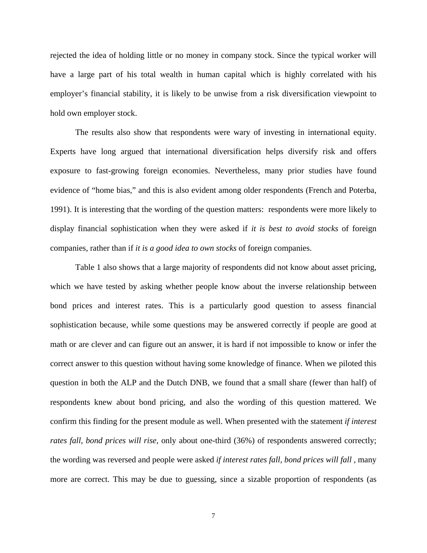rejected the idea of holding little or no money in company stock. Since the typical worker will have a large part of his total wealth in human capital which is highly correlated with his employer's financial stability, it is likely to be unwise from a risk diversification viewpoint to hold own employer stock.

 The results also show that respondents were wary of investing in international equity. Experts have long argued that international diversification helps diversify risk and offers exposure to fast-growing foreign economies. Nevertheless, many prior studies have found evidence of "home bias," and this is also evident among older respondents (French and Poterba, 1991). It is interesting that the wording of the question matters: respondents were more likely to display financial sophistication when they were asked if *it is best to avoid stocks* of foreign companies, rather than if *it is a good idea to own stocks* of foreign companies.

 Table 1 also shows that a large majority of respondents did not know about asset pricing, which we have tested by asking whether people know about the inverse relationship between bond prices and interest rates. This is a particularly good question to assess financial sophistication because, while some questions may be answered correctly if people are good at math or are clever and can figure out an answer, it is hard if not impossible to know or infer the correct answer to this question without having some knowledge of finance. When we piloted this question in both the ALP and the Dutch DNB, we found that a small share (fewer than half) of respondents knew about bond pricing, and also the wording of this question mattered. We confirm this finding for the present module as well. When presented with the statement *if interest rates fall, bond prices will rise,* only about one-third (36%) of respondents answered correctly; the wording was reversed and people were asked *if interest rates fall, bond prices will fall* , many more are correct. This may be due to guessing, since a sizable proportion of respondents (as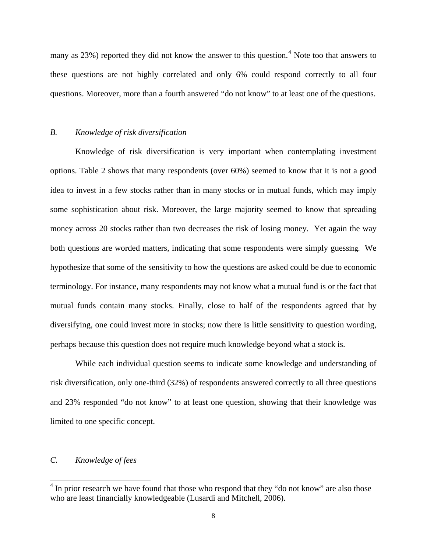many as 23%) reported they did not know the answer to this question.<sup>[4](#page-10-0)</sup> Note too that answers to these questions are not highly correlated and only 6% could respond correctly to all four questions. Moreover, more than a fourth answered "do not know" to at least one of the questions.

#### *B. Knowledge of risk diversification*

 Knowledge of risk diversification is very important when contemplating investment options. Table 2 shows that many respondents (over 60%) seemed to know that it is not a good idea to invest in a few stocks rather than in many stocks or in mutual funds, which may imply some sophistication about risk. Moreover, the large majority seemed to know that spreading money across 20 stocks rather than two decreases the risk of losing money. Yet again the way both questions are worded matters, indicating that some respondents were simply guessing. We hypothesize that some of the sensitivity to how the questions are asked could be due to economic terminology. For instance, many respondents may not know what a mutual fund is or the fact that mutual funds contain many stocks. Finally, close to half of the respondents agreed that by diversifying, one could invest more in stocks; now there is little sensitivity to question wording, perhaps because this question does not require much knowledge beyond what a stock is.

 While each individual question seems to indicate some knowledge and understanding of risk diversification, only one-third (32%) of respondents answered correctly to all three questions and 23% responded "do not know" to at least one question, showing that their knowledge was limited to one specific concept.

### *C. Knowledge of fees*

 $\overline{a}$ 

<span id="page-10-0"></span> $4$  In prior research we have found that those who respond that they "do not know" are also those who are least financially knowledgeable (Lusardi and Mitchell, 2006).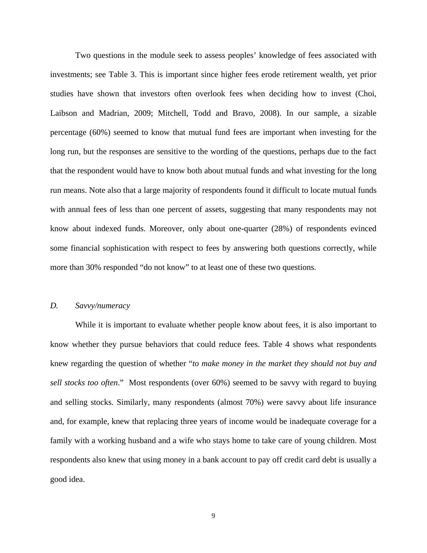Two questions in the module seek to assess peoples' knowledge of fees associated with investments; see Table 3. This is important since higher fees erode retirement wealth, yet prior studies have shown that investors often overlook fees when deciding how to invest (Choi, Laibson and Madrian, 2009; Mitchell, Todd and Bravo, 2008). In our sample, a sizable percentage (60%) seemed to know that mutual fund fees are important when investing for the long run, but the responses are sensitive to the wording of the questions, perhaps due to the fact that the respondent would have to know both about mutual funds and what investing for the long run means. Note also that a large majority of respondents found it difficult to locate mutual funds with annual fees of less than one percent of assets, suggesting that many respondents may not know about indexed funds. Moreover, only about one-quarter (28%) of respondents evinced some financial sophistication with respect to fees by answering both questions correctly, while more than 30% responded "do not know" to at least one of these two questions.

#### *D. Savvy/numeracy*

 While it is important to evaluate whether people know about fees, it is also important to know whether they pursue behaviors that could reduce fees. Table 4 shows what respondents knew regarding the question of whether "*to make money in the market they should not buy and sell stocks too often*." Most respondents (over 60%) seemed to be savvy with regard to buying and selling stocks. Similarly, many respondents (almost 70%) were savvy about life insurance and, for example, knew that replacing three years of income would be inadequate coverage for a family with a working husband and a wife who stays home to take care of young children. Most respondents also knew that using money in a bank account to pay off credit card debt is usually a good idea.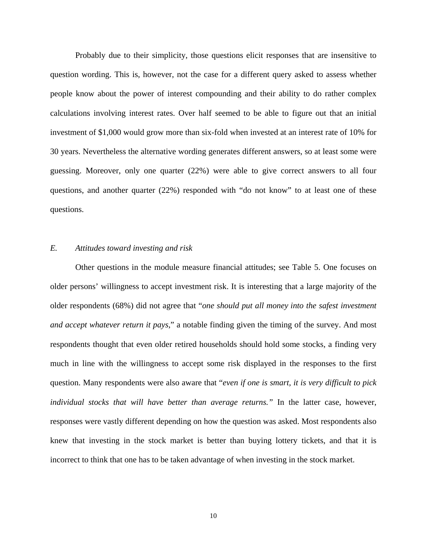Probably due to their simplicity, those questions elicit responses that are insensitive to question wording. This is, however, not the case for a different query asked to assess whether people know about the power of interest compounding and their ability to do rather complex calculations involving interest rates. Over half seemed to be able to figure out that an initial investment of \$1,000 would grow more than six-fold when invested at an interest rate of 10% for 30 years. Nevertheless the alternative wording generates different answers, so at least some were guessing. Moreover, only one quarter (22%) were able to give correct answers to all four questions, and another quarter (22%) responded with "do not know" to at least one of these questions.

#### *E. Attitudes toward investing and risk*

 Other questions in the module measure financial attitudes; see Table 5. One focuses on older persons' willingness to accept investment risk. It is interesting that a large majority of the older respondents (68%) did not agree that "*one should put all money into the safest investment and accept whatever return it pays*," a notable finding given the timing of the survey. And most respondents thought that even older retired households should hold some stocks, a finding very much in line with the willingness to accept some risk displayed in the responses to the first question. Many respondents were also aware that "*even if one is smart, it is very difficult to pick individual stocks that will have better than average returns."* In the latter case, however, responses were vastly different depending on how the question was asked. Most respondents also knew that investing in the stock market is better than buying lottery tickets, and that it is incorrect to think that one has to be taken advantage of when investing in the stock market.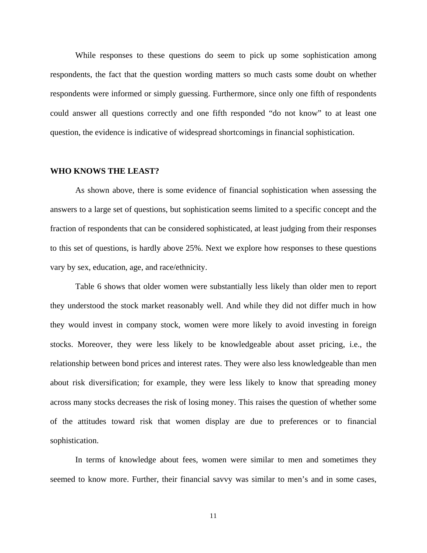While responses to these questions do seem to pick up some sophistication among respondents, the fact that the question wording matters so much casts some doubt on whether respondents were informed or simply guessing. Furthermore, since only one fifth of respondents could answer all questions correctly and one fifth responded "do not know" to at least one question, the evidence is indicative of widespread shortcomings in financial sophistication.

#### **WHO KNOWS THE LEAST?**

 As shown above, there is some evidence of financial sophistication when assessing the answers to a large set of questions, but sophistication seems limited to a specific concept and the fraction of respondents that can be considered sophisticated, at least judging from their responses to this set of questions, is hardly above 25%. Next we explore how responses to these questions vary by sex, education, age, and race/ethnicity.

 Table 6 shows that older women were substantially less likely than older men to report they understood the stock market reasonably well. And while they did not differ much in how they would invest in company stock, women were more likely to avoid investing in foreign stocks. Moreover, they were less likely to be knowledgeable about asset pricing, i.e., the relationship between bond prices and interest rates. They were also less knowledgeable than men about risk diversification; for example, they were less likely to know that spreading money across many stocks decreases the risk of losing money. This raises the question of whether some of the attitudes toward risk that women display are due to preferences or to financial sophistication.

 In terms of knowledge about fees, women were similar to men and sometimes they seemed to know more. Further, their financial savvy was similar to men's and in some cases,

11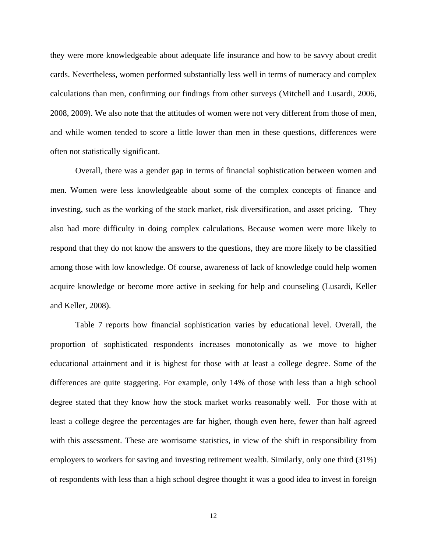they were more knowledgeable about adequate life insurance and how to be savvy about credit cards. Nevertheless, women performed substantially less well in terms of numeracy and complex calculations than men, confirming our findings from other surveys (Mitchell and Lusardi, 2006, 2008, 2009). We also note that the attitudes of women were not very different from those of men, and while women tended to score a little lower than men in these questions, differences were often not statistically significant.

 Overall, there was a gender gap in terms of financial sophistication between women and men. Women were less knowledgeable about some of the complex concepts of finance and investing, such as the working of the stock market, risk diversification, and asset pricing. They also had more difficulty in doing complex calculations. Because women were more likely to respond that they do not know the answers to the questions, they are more likely to be classified among those with low knowledge. Of course, awareness of lack of knowledge could help women acquire knowledge or become more active in seeking for help and counseling (Lusardi, Keller and Keller, 2008).

 Table 7 reports how financial sophistication varies by educational level. Overall, the proportion of sophisticated respondents increases monotonically as we move to higher educational attainment and it is highest for those with at least a college degree. Some of the differences are quite staggering. For example, only 14% of those with less than a high school degree stated that they know how the stock market works reasonably well. For those with at least a college degree the percentages are far higher, though even here, fewer than half agreed with this assessment. These are worrisome statistics, in view of the shift in responsibility from employers to workers for saving and investing retirement wealth. Similarly, only one third (31%) of respondents with less than a high school degree thought it was a good idea to invest in foreign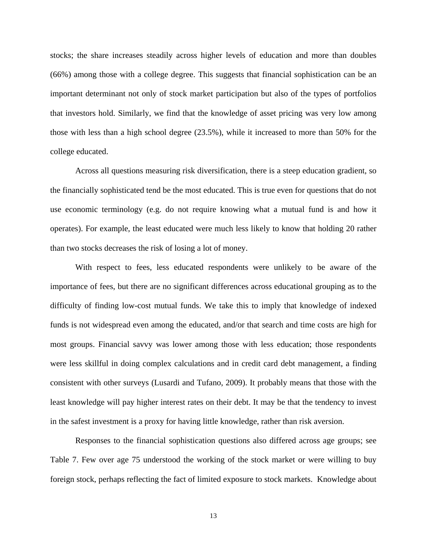stocks; the share increases steadily across higher levels of education and more than doubles (66%) among those with a college degree. This suggests that financial sophistication can be an important determinant not only of stock market participation but also of the types of portfolios that investors hold. Similarly, we find that the knowledge of asset pricing was very low among those with less than a high school degree (23.5%), while it increased to more than 50% for the college educated.

 Across all questions measuring risk diversification, there is a steep education gradient, so the financially sophisticated tend be the most educated. This is true even for questions that do not use economic terminology (e.g. do not require knowing what a mutual fund is and how it operates). For example, the least educated were much less likely to know that holding 20 rather than two stocks decreases the risk of losing a lot of money.

 With respect to fees, less educated respondents were unlikely to be aware of the importance of fees, but there are no significant differences across educational grouping as to the difficulty of finding low-cost mutual funds. We take this to imply that knowledge of indexed funds is not widespread even among the educated, and/or that search and time costs are high for most groups. Financial savvy was lower among those with less education; those respondents were less skillful in doing complex calculations and in credit card debt management, a finding consistent with other surveys (Lusardi and Tufano, 2009). It probably means that those with the least knowledge will pay higher interest rates on their debt. It may be that the tendency to invest in the safest investment is a proxy for having little knowledge, rather than risk aversion.

 Responses to the financial sophistication questions also differed across age groups; see Table 7. Few over age 75 understood the working of the stock market or were willing to buy foreign stock, perhaps reflecting the fact of limited exposure to stock markets. Knowledge about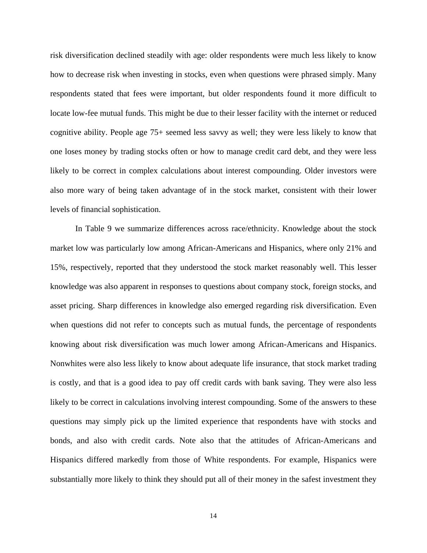risk diversification declined steadily with age: older respondents were much less likely to know how to decrease risk when investing in stocks, even when questions were phrased simply. Many respondents stated that fees were important, but older respondents found it more difficult to locate low-fee mutual funds. This might be due to their lesser facility with the internet or reduced cognitive ability. People age 75+ seemed less savvy as well; they were less likely to know that one loses money by trading stocks often or how to manage credit card debt, and they were less likely to be correct in complex calculations about interest compounding. Older investors were also more wary of being taken advantage of in the stock market, consistent with their lower levels of financial sophistication.

 In Table 9 we summarize differences across race/ethnicity. Knowledge about the stock market low was particularly low among African-Americans and Hispanics, where only 21% and 15%, respectively, reported that they understood the stock market reasonably well. This lesser knowledge was also apparent in responses to questions about company stock, foreign stocks, and asset pricing. Sharp differences in knowledge also emerged regarding risk diversification. Even when questions did not refer to concepts such as mutual funds, the percentage of respondents knowing about risk diversification was much lower among African-Americans and Hispanics. Nonwhites were also less likely to know about adequate life insurance, that stock market trading is costly, and that is a good idea to pay off credit cards with bank saving. They were also less likely to be correct in calculations involving interest compounding. Some of the answers to these questions may simply pick up the limited experience that respondents have with stocks and bonds, and also with credit cards. Note also that the attitudes of African-Americans and Hispanics differed markedly from those of White respondents. For example, Hispanics were substantially more likely to think they should put all of their money in the safest investment they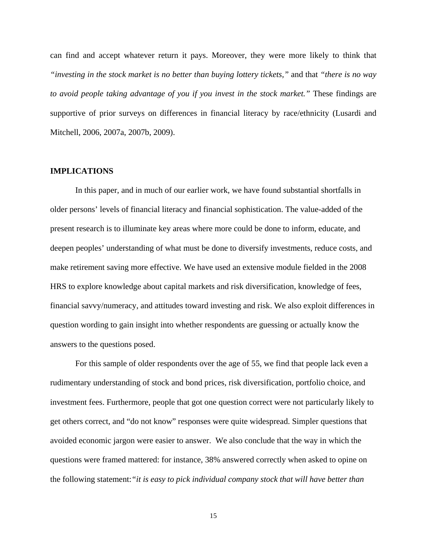can find and accept whatever return it pays. Moreover, they were more likely to think that *"investing in the stock market is no better than buying lottery tickets,"* and that *"there is no way to avoid people taking advantage of you if you invest in the stock market."* These findings are supportive of prior surveys on differences in financial literacy by race/ethnicity (Lusardi and Mitchell, 2006, 2007a, 2007b, 2009).

#### **IMPLICATIONS**

In this paper, and in much of our earlier work, we have found substantial shortfalls in older persons' levels of financial literacy and financial sophistication. The value-added of the present research is to illuminate key areas where more could be done to inform, educate, and deepen peoples' understanding of what must be done to diversify investments, reduce costs, and make retirement saving more effective. We have used an extensive module fielded in the 2008 HRS to explore knowledge about capital markets and risk diversification, knowledge of fees, financial savvy/numeracy, and attitudes toward investing and risk. We also exploit differences in question wording to gain insight into whether respondents are guessing or actually know the answers to the questions posed.

For this sample of older respondents over the age of 55, we find that people lack even a rudimentary understanding of stock and bond prices, risk diversification, portfolio choice, and investment fees. Furthermore, people that got one question correct were not particularly likely to get others correct, and "do not know" responses were quite widespread. Simpler questions that avoided economic jargon were easier to answer. We also conclude that the way in which the questions were framed mattered: for instance, 38% answered correctly when asked to opine on the following statement:*"it is easy to pick individual company stock that will have better than* 

15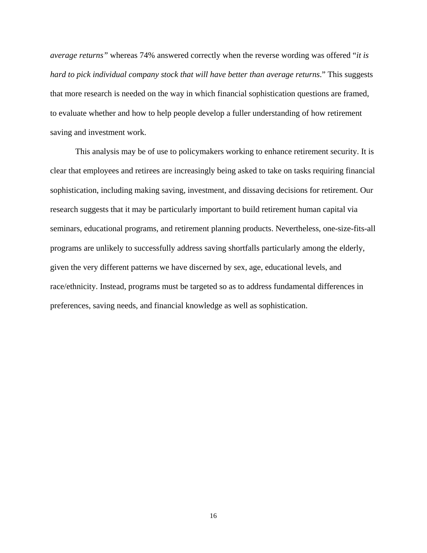*average returns"* whereas 74% answered correctly when the reverse wording was offered "*it is hard to pick individual company stock that will have better than average returns*." This suggests that more research is needed on the way in which financial sophistication questions are framed, to evaluate whether and how to help people develop a fuller understanding of how retirement saving and investment work.

This analysis may be of use to policymakers working to enhance retirement security. It is clear that employees and retirees are increasingly being asked to take on tasks requiring financial sophistication, including making saving, investment, and dissaving decisions for retirement. Our research suggests that it may be particularly important to build retirement human capital via seminars, educational programs, and retirement planning products. Nevertheless, one-size-fits-all programs are unlikely to successfully address saving shortfalls particularly among the elderly, given the very different patterns we have discerned by sex, age, educational levels, and race/ethnicity. Instead, programs must be targeted so as to address fundamental differences in preferences, saving needs, and financial knowledge as well as sophistication.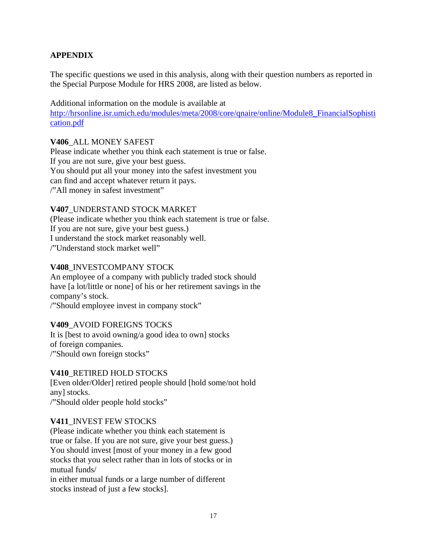## **APPENDIX**

The specific questions we used in this analysis, along with their question numbers as reported in the Special Purpose Module for HRS 2008, are listed as below.

Additional information on the module is available at [http://hrsonline.isr.umich.edu/modules/meta/2008/core/qnaire/online/Module8\\_FinancialSophisti](http://hrsonline.isr.umich.edu/modules/meta/2008/core/qnaire/online/Module8_FinancialSophistication.pdf) [cation.pdf](http://hrsonline.isr.umich.edu/modules/meta/2008/core/qnaire/online/Module8_FinancialSophistication.pdf)

## **V406**\_ALL MONEY SAFEST

Please indicate whether you think each statement is true or false. If you are not sure, give your best guess. You should put all your money into the safest investment you can find and accept whatever return it pays. /"All money in safest investment"

## **V407**\_UNDERSTAND STOCK MARKET

(Please indicate whether you think each statement is true or false. If you are not sure, give your best guess.) I understand the stock market reasonably well. /"Understand stock market well"

### **V408**\_INVESTCOMPANY STOCK

An employee of a company with publicly traded stock should have [a lot/little or none] of his or her retirement savings in the company's stock. /"Should employee invest in company stock"

## **V409**\_AVOID FOREIGNS TOCKS

It is [best to avoid owning/a good idea to own] stocks of foreign companies. /"Should own foreign stocks"

#### **V410**\_RETIRED HOLD STOCKS

[Even older/Older] retired people should [hold some/not hold any] stocks. /"Should older people hold stocks"

#### **V411**\_INVEST FEW STOCKS

(Please indicate whether you think each statement is true or false. If you are not sure, give your best guess.) You should invest [most of your money in a few good stocks that you select rather than in lots of stocks or in mutual funds/

in either mutual funds or a large number of different stocks instead of just a few stocks].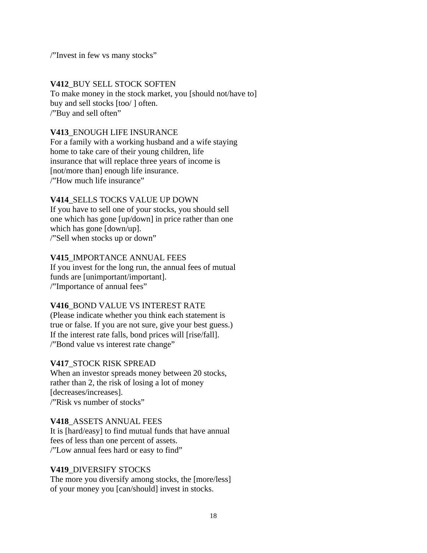/"Invest in few vs many stocks"

## **V412**\_BUY SELL STOCK SOFTEN To make money in the stock market, you [should not/have to] buy and sell stocks [too/ ] often. /"Buy and sell often"

## **V413**\_ENOUGH LIFE INSURANCE

For a family with a working husband and a wife staying home to take care of their young children, life insurance that will replace three years of income is [not/more than] enough life insurance. /"How much life insurance"

## **V414**\_SELLS TOCKS VALUE UP DOWN

If you have to sell one of your stocks, you should sell one which has gone [up/down] in price rather than one which has gone [down/up]. /"Sell when stocks up or down"

## **V415**\_IMPORTANCE ANNUAL FEES

If you invest for the long run, the annual fees of mutual funds are [unimportant/important]. /"Importance of annual fees"

## **V416**\_BOND VALUE VS INTEREST RATE

(Please indicate whether you think each statement is true or false. If you are not sure, give your best guess.) If the interest rate falls, bond prices will [rise/fall]. /"Bond value vs interest rate change"

## **V417**\_STOCK RISK SPREAD

When an investor spreads money between 20 stocks, rather than 2, the risk of losing a lot of money [decreases/increases]. /"Risk vs number of stocks"

## **V418**\_ASSETS ANNUAL FEES

It is [hard/easy] to find mutual funds that have annual fees of less than one percent of assets. /"Low annual fees hard or easy to find"

## **V419**\_DIVERSIFY STOCKS

The more you diversify among stocks, the [more/less] of your money you [can/should] invest in stocks.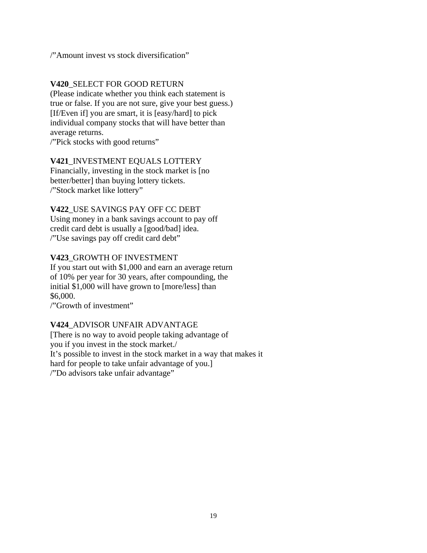/"Amount invest vs stock diversification"

## **V420**\_SELECT FOR GOOD RETURN

(Please indicate whether you think each statement is true or false. If you are not sure, give your best guess.) [If/Even if] you are smart, it is [easy/hard] to pick individual company stocks that will have better than average returns.

/"Pick stocks with good returns"

## **V421**\_INVESTMENT EQUALS LOTTERY

Financially, investing in the stock market is [no better/better] than buying lottery tickets. /"Stock market like lottery"

## **V422**\_USE SAVINGS PAY OFF CC DEBT

Using money in a bank savings account to pay off credit card debt is usually a [good/bad] idea. /"Use savings pay off credit card debt"

## **V423**\_GROWTH OF INVESTMENT

If you start out with \$1,000 and earn an average return of 10% per year for 30 years, after compounding, the initial \$1,000 will have grown to [more/less] than \$6,000.

/"Growth of investment"

## **V424**\_ADVISOR UNFAIR ADVANTAGE

[There is no way to avoid people taking advantage of you if you invest in the stock market./ It's possible to invest in the stock market in a way that makes it hard for people to take unfair advantage of you.] /"Do advisors take unfair advantage"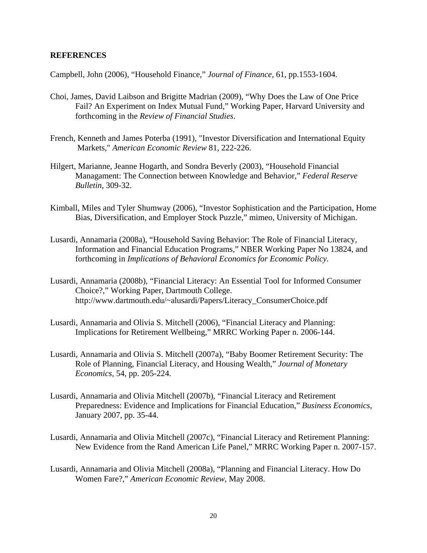#### **REFERENCES**

Campbell, John (2006), "Household Finance," *Journal of Finance*, 61, pp.1553-1604.

- Choi, James, David Laibson and Brigitte Madrian (2009), "Why Does the Law of One Price Fail? An Experiment on Index Mutual Fund," Working Paper, Harvard University and forthcoming in the *Review of Financial Studies*.
- French, Kenneth and James Poterba (1991), "Investor Diversification and International Equity Markets," *American Economic Review* 81, 222-226.
- Hilgert, Marianne, Jeanne Hogarth, and Sondra Beverly (2003), "Household Financial Managament: The Connection between Knowledge and Behavior," *Federal Reserve Bulletin,* 309-32.
- Kimball, Miles and Tyler Shumway (2006), "Investor Sophistication and the Participation, Home Bias, Diversification, and Employer Stock Puzzle," mimeo, University of Michigan.
- Lusardi, Annamaria (2008a), "Household Saving Behavior: The Role of Financial Literacy, Information and Financial Education Programs," NBER Working Paper No 13824, and forthcoming in *Implications of Behavioral Economics for Economic Policy.*
- Lusardi, Annamaria (2008b), "Financial Literacy: An Essential Tool for Informed Consumer Choice?," Working Paper, Dartmouth College. http://www.dartmouth.edu/~alusardi/Papers/Literacy\_ConsumerChoice.pdf
- Lusardi, Annamaria and Olivia S. Mitchell (2006), "Financial Literacy and Planning: Implications for Retirement Wellbeing," MRRC Working Paper n. 2006-144.
- Lusardi, Annamaria and Olivia S. Mitchell (2007a), "Baby Boomer Retirement Security: The Role of Planning, Financial Literacy, and Housing Wealth," *Journal of Monetary Economics,* 54, pp. 205-224.
- Lusardi, Annamaria and Olivia Mitchell (2007b), "Financial Literacy and Retirement Preparedness: Evidence and Implications for Financial Education," *Business Economics*, January 2007, pp. 35-44.
- Lusardi, Annamaria and Olivia Mitchell (2007c), "Financial Literacy and Retirement Planning: New Evidence from the Rand American Life Panel," MRRC Working Paper n. 2007-157.
- Lusardi, Annamaria and Olivia Mitchell (2008a), "Planning and Financial Literacy. How Do Women Fare?," *American Economic Review*, May 2008.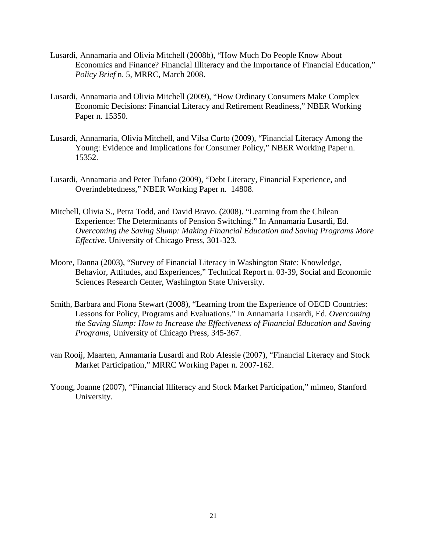- Lusardi, Annamaria and Olivia Mitchell (2008b), "How Much Do People Know About Economics and Finance? Financial Illiteracy and the Importance of Financial Education," *Policy Brief* n. 5, MRRC, March 2008.
- Lusardi, Annamaria and Olivia Mitchell (2009), "How Ordinary Consumers Make Complex Economic Decisions: Financial Literacy and Retirement Readiness," NBER Working Paper n. 15350.
- Lusardi, Annamaria, Olivia Mitchell, and Vilsa Curto (2009), "Financial Literacy Among the Young: Evidence and Implications for Consumer Policy," NBER Working Paper n. 15352.
- Lusardi, Annamaria and Peter Tufano (2009), "Debt Literacy, Financial Experience, and Overindebtedness," NBER Working Paper n. 14808.
- Mitchell, Olivia S., Petra Todd, and David Bravo. (2008). "Learning from the Chilean Experience: The Determinants of Pension Switching." In Annamaria Lusardi, Ed. *Overcoming the Saving Slump: Making Financial Education and Saving Programs More Effective*. University of Chicago Press, 301-323.
- Moore, Danna (2003), "Survey of Financial Literacy in Washington State: Knowledge, Behavior, Attitudes, and Experiences," Technical Report n. 03-39, Social and Economic Sciences Research Center, Washington State University.
- Smith, Barbara and Fiona Stewart (2008), "Learning from the Experience of OECD Countries: Lessons for Policy, Programs and Evaluations." In Annamaria Lusardi, Ed. *Overcoming the Saving Slump: How to Increase the Effectiveness of Financial Education and Saving Programs*, University of Chicago Press, 345-367.
- van Rooij, Maarten, Annamaria Lusardi and Rob Alessie (2007), "Financial Literacy and Stock Market Participation," MRRC Working Paper n. 2007-162.
- Yoong, Joanne (2007), "Financial Illiteracy and Stock Market Participation," mimeo, Stanford University.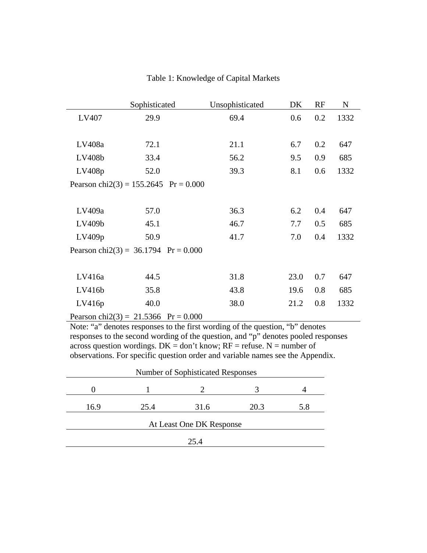|                                          | Sophisticated | Unsophisticated | DK   | RF  | N    |
|------------------------------------------|---------------|-----------------|------|-----|------|
| LV407                                    | 29.9          | 69.4            | 0.6  | 0.2 | 1332 |
|                                          |               |                 |      |     |      |
| LV408a                                   | 72.1          | 21.1            | 6.7  | 0.2 | 647  |
| LV408b                                   | 33.4          | 56.2            | 9.5  | 0.9 | 685  |
| LV408p                                   | 52.0          | 39.3            | 8.1  | 0.6 | 1332 |
| Pearson chi $2(3) = 155.2645$ Pr = 0.000 |               |                 |      |     |      |
|                                          |               |                 |      |     |      |
| LV409a                                   | 57.0          | 36.3            | 6.2  | 0.4 | 647  |
| LV409b                                   | 45.1          | 46.7            | 7.7  | 0.5 | 685  |
| LV409p                                   | 50.9          | 41.7            | 7.0  | 0.4 | 1332 |
| Pearson chi $2(3) = 36.1794$ Pr = 0.000  |               |                 |      |     |      |
|                                          |               |                 |      |     |      |
| LV416a                                   | 44.5          | 31.8            | 23.0 | 0.7 | 647  |
| LV416b                                   | 35.8          | 43.8            | 19.6 | 0.8 | 685  |
| LV416p                                   | 40.0          | 38.0            | 21.2 | 0.8 | 1332 |
| Pearson chi $2(3) = 21.5366$ Pr = 0.000  |               |                 |      |     |      |

## Table 1: Knowledge of Capital Markets

Note: "a" denotes responses to the first wording of the question, "b" denotes responses to the second wording of the question, and "p" denotes pooled responses across question wordings.  $DK = don't know$ ;  $RF =$  refuse. N = number of observations. For specific question order and variable names see the Appendix.

| <b>Number of Sophisticated Responses</b> |      |                          |      |     |  |
|------------------------------------------|------|--------------------------|------|-----|--|
|                                          |      |                          |      |     |  |
| 16.9                                     | 25.4 | 31.6                     | 20.3 | 5.8 |  |
|                                          |      | At Least One DK Response |      |     |  |
|                                          |      |                          |      |     |  |
|                                          |      | 25.4                     |      |     |  |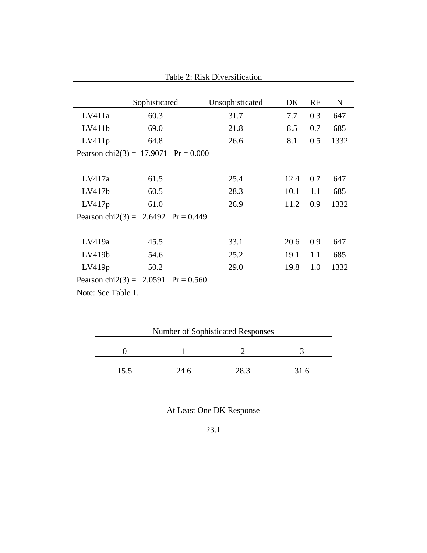|                             | Sophisticated                           | Unsophisticated | DK.  | RF  | $\mathbf N$ |
|-----------------------------|-----------------------------------------|-----------------|------|-----|-------------|
| LV411a                      | 60.3                                    | 31.7            | 7.7  | 0.3 | 647         |
| LV411b                      | 69.0                                    | 21.8            | 8.5  | 0.7 | 685         |
| LV411p                      | 64.8                                    | 26.6            | 8.1  | 0.5 | 1332        |
|                             | Pearson chi $2(3) = 17.9071$ Pr = 0.000 |                 |      |     |             |
|                             |                                         |                 |      |     |             |
| LV417a                      | 61.5                                    | 25.4            | 12.4 | 0.7 | 647         |
| LV417b                      | 60.5                                    | 28.3            | 10.1 | 1.1 | 685         |
| LV417p                      | 61.0                                    | 26.9            | 11.2 | 0.9 | 1332        |
|                             | Pearson chi2(3) = $2.6492$ Pr = 0.449   |                 |      |     |             |
|                             |                                         |                 |      |     |             |
| LV419a                      | 45.5                                    | 33.1            | 20.6 | 0.9 | 647         |
| LV419b                      | 54.6                                    | 25.2            | 19.1 | 1.1 | 685         |
| LV419p                      | 50.2                                    | 29.0            | 19.8 | 1.0 | 1332        |
| Pearson chi $2(3) = 2.0591$ | $Pr = 0.560$                            |                 |      |     |             |

Table 2: Risk Diversification

|     | <b>Number of Sophisticated Responses</b> |      |      |
|-----|------------------------------------------|------|------|
|     |                                          |      |      |
| 155 | 24.6                                     | IX 3 | 31.6 |

| At Least One DK Response |  |  |  |
|--------------------------|--|--|--|
|                          |  |  |  |
| 23.1                     |  |  |  |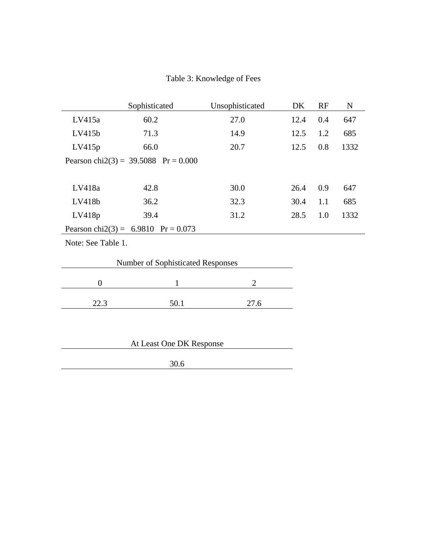# Table 3: Knowledge of Fees

|                                          | Sophisticated                           | Unsophisticated | DK.  | RF  | $\mathbf N$ |  |
|------------------------------------------|-----------------------------------------|-----------------|------|-----|-------------|--|
| LV415a                                   | 60.2                                    | 27.0            | 12.4 | 0.4 | 647         |  |
| LV415b                                   | 71.3                                    | 14.9            | 12.5 | 1.2 | 685         |  |
| LV415p                                   | 66.0                                    | 20.7            | 12.5 | 0.8 | 1332        |  |
|                                          | Pearson chi $2(3) = 39.5088$ Pr = 0.000 |                 |      |     |             |  |
|                                          |                                         |                 |      |     |             |  |
| LV418a                                   | 42.8                                    | 30.0            | 26.4 | 0.9 | 647         |  |
| LV418b                                   | 36.2                                    | 32.3            | 30.4 | 1.1 | 685         |  |
| LV418p                                   | 39.4                                    | 31.2            | 28.5 | 1.0 | 1332        |  |
|                                          | Pearson chi2(3) = $6.9810$ Pr = 0.073   |                 |      |     |             |  |
| Note: See Table 1.                       |                                         |                 |      |     |             |  |
| <b>Number of Sophisticated Responses</b> |                                         |                 |      |     |             |  |
| $\overline{0}$                           | 1                                       | 2               |      |     |             |  |
|                                          |                                         |                 |      |     |             |  |

| $- - -$ | a l<br>$\ddotsc$ | $- \cdot \cdot \cdot$ |
|---------|------------------|-----------------------|
|         |                  |                       |

| At Least One DK Response |
|--------------------------|
|                          |
| 30.6                     |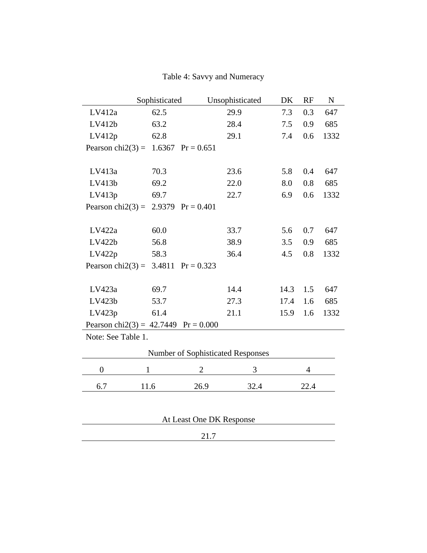Table 4: Savvy and Numeracy

|                                        | Sophisticated |                          | Unsophisticated                   | DK   | RF   | ${\bf N}$ |
|----------------------------------------|---------------|--------------------------|-----------------------------------|------|------|-----------|
| LV412a                                 | 62.5          |                          | 29.9                              | 7.3  | 0.3  | 647       |
| LV412b                                 | 63.2          |                          | 28.4                              | 7.5  | 0.9  | 685       |
| LV412p                                 | 62.8          |                          | 29.1                              | 7.4  | 0.6  | 1332      |
| Pearson chi $2(3) =$                   |               | 1.6367 $Pr = 0.651$      |                                   |      |      |           |
|                                        |               |                          |                                   |      |      |           |
| LV413a                                 | 70.3          |                          | 23.6                              | 5.8  | 0.4  | 647       |
| LV413b                                 | 69.2          |                          | 22.0                              | 8.0  | 0.8  | 685       |
| LV413p                                 | 69.7          |                          | 22.7                              | 6.9  | 0.6  | 1332      |
| Pearson chi $2(3) =$                   | 2.9379        | $Pr = 0.401$             |                                   |      |      |           |
|                                        |               |                          |                                   |      |      |           |
| LV422a                                 | 60.0          |                          | 33.7                              | 5.6  | 0.7  | 647       |
| LV422b                                 | 56.8          |                          | 38.9                              | 3.5  | 0.9  | 685       |
| LV422p                                 | 58.3          |                          | 36.4                              | 4.5  | 0.8  | 1332      |
| Pearson chi $2(3) =$                   | 3.4811        | $Pr = 0.323$             |                                   |      |      |           |
|                                        |               |                          |                                   |      |      |           |
| LV423a                                 | 69.7          |                          | 14.4                              | 14.3 | 1.5  | 647       |
| LV423b                                 | 53.7          |                          | 27.3                              | 17.4 | 1.6  | 685       |
| LV423p                                 | 61.4          |                          | 21.1                              | 15.9 | 1.6  | 1332      |
| Pearson chi2(3) = $42.7449$ Pr = 0.000 |               |                          |                                   |      |      |           |
| Note: See Table 1.                     |               |                          |                                   |      |      |           |
|                                        |               |                          | Number of Sophisticated Responses |      |      |           |
|                                        |               |                          |                                   |      |      |           |
| $\boldsymbol{0}$                       | 1             | $\overline{2}$           | 3                                 |      | 4    |           |
| 6.7                                    | 11.6          | 26.9                     | 32.4                              |      | 22.4 |           |
|                                        |               |                          |                                   |      |      |           |
|                                        |               |                          |                                   |      |      |           |
|                                        |               | At Least One DK Response |                                   |      |      |           |
|                                        |               | 21.7                     |                                   |      |      |           |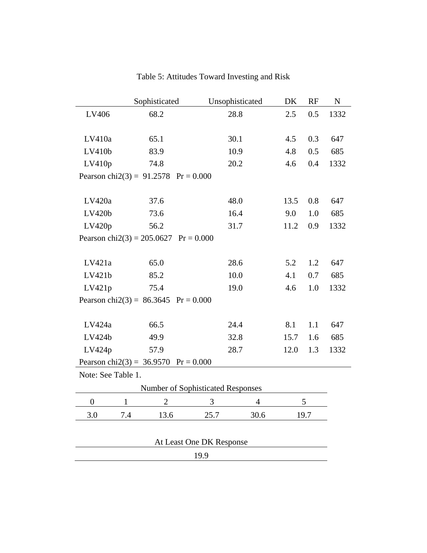|                    | Sophisticated                           | Unsophisticated                   | DK             | RF   | ${\bf N}$ |
|--------------------|-----------------------------------------|-----------------------------------|----------------|------|-----------|
| LV406              | 68.2                                    | 28.8                              | 2.5            | 0.5  | 1332      |
| LV410a             | 65.1                                    | 30.1                              | 4.5            | 0.3  | 647       |
| LV410b             | 83.9                                    | 10.9                              |                | 0.5  | 685       |
| LV410p             | 74.8                                    | 20.2                              | 4.6            | 0.4  | 1332      |
|                    | Pearson chi $2(3) = 91.2578$ Pr = 0.000 |                                   |                |      |           |
| LV420a             | 37.6                                    | 48.0                              | 13.5           | 0.8  | 647       |
| LV420b             | 73.6                                    | 16.4                              | 9.0            | 1.0  | 685       |
| LV420p             | 56.2                                    | 31.7                              | 11.2           | 0.9  | 1332      |
|                    | Pearson chi $2(3) = 205.0627$           | $Pr = 0.000$                      |                |      |           |
| LV421a             | 65.0                                    | 28.6                              | 5.2            | 1.2  | 647       |
| LV421b             | 85.2                                    | 10.0                              | 4.1            | 0.7  | 685       |
| LV421p             | 75.4                                    | 19.0                              |                | 1.0  | 1332      |
|                    | Pearson chi $2(3) = 86.3645$ Pr = 0.000 |                                   |                |      |           |
| LV424a             | 66.5                                    | 24.4                              | 8.1            | 1.1  | 647       |
| LV424b             | 49.9                                    | 32.8                              | 15.7           | 1.6  | 685       |
| LV424p             | 57.9                                    | 28.7                              | 12.0           | 1.3  | 1332      |
|                    | Pearson chi2(3) = $36.9570$ Pr = 0.000  |                                   |                |      |           |
| Note: See Table 1. |                                         |                                   |                |      |           |
|                    |                                         | Number of Sophisticated Responses |                |      |           |
| $\boldsymbol{0}$   | $\overline{2}$<br>$\mathbf{1}$          | 3                                 | $\overline{4}$ | 5    |           |
| 3.0                | 7.4<br>13.6                             | 25.7                              | 30.6           | 19.7 |           |
|                    |                                         | At Least One DK Response          |                |      |           |
|                    |                                         | 19.9                              |                |      |           |

# Table 5: Attitudes Toward Investing and Risk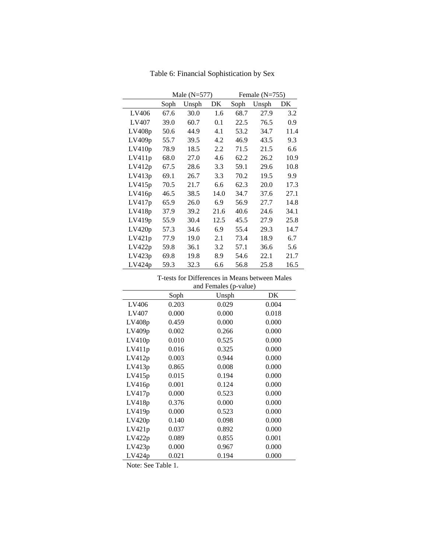|        |      | Male $(N=577)$ |      | Female $(N=755)$ |       |      |
|--------|------|----------------|------|------------------|-------|------|
|        | Soph | Unsph          | DK   | Soph             | Unsph | DK   |
| LV406  | 67.6 | 30.0           | 1.6  | 68.7             | 27.9  | 3.2  |
| LV407  | 39.0 | 60.7           | 0.1  | 22.5             | 76.5  | 0.9  |
| LV408p | 50.6 | 44.9           | 4.1  | 53.2             | 34.7  | 11.4 |
| LV409p | 55.7 | 39.5           | 4.2  | 46.9             | 43.5  | 9.3  |
| LV410p | 78.9 | 18.5           | 2.2  | 71.5             | 21.5  | 6.6  |
| LV411p | 68.0 | 27.0           | 4.6  | 62.2             | 26.2  | 10.9 |
| LV412p | 67.5 | 28.6           | 3.3  | 59.1             | 29.6  | 10.8 |
| LV413p | 69.1 | 26.7           | 3.3  | 70.2             | 19.5  | 9.9  |
| LV415p | 70.5 | 21.7           | 6.6  | 62.3             | 20.0  | 17.3 |
| LV416p | 46.5 | 38.5           | 14.0 | 34.7             | 37.6  | 27.1 |
| LV417p | 65.9 | 26.0           | 6.9  | 56.9             | 27.7  | 14.8 |
| LV418p | 37.9 | 39.2           | 21.6 | 40.6             | 24.6  | 34.1 |
| LV419p | 55.9 | 30.4           | 12.5 | 45.5             | 27.9  | 25.8 |
| LV420p | 57.3 | 34.6           | 6.9  | 55.4             | 29.3  | 14.7 |
| LV421p | 77.9 | 19.0           | 2.1  | 73.4             | 18.9  | 6.7  |
| LV422p | 59.8 | 36.1           | 3.2  | 57.1             | 36.6  | 5.6  |
| LV423p | 69.8 | 19.8           | 8.9  | 54.6             | 22.1  | 21.7 |
| LV424p | 59.3 | 32.3           | 6.6  | 56.8             | 25.8  | 16.5 |

Table 6: Financial Sophistication by Sex

#### T-tests for Differences in Means between Males and Females (p-value)

|        |       | allu Felliales (p-value) |       |
|--------|-------|--------------------------|-------|
|        | Soph  | Unsph                    | DK    |
| LV406  | 0.203 | 0.029                    | 0.004 |
| LV407  | 0.000 | 0.000                    | 0.018 |
| LV408p | 0.459 | 0.000                    | 0.000 |
| LV409p | 0.002 | 0.266                    | 0.000 |
| LV410p | 0.010 | 0.525                    | 0.000 |
| LV411p | 0.016 | 0.325                    | 0.000 |
| LV412p | 0.003 | 0.944                    | 0.000 |
| LV413p | 0.865 | 0.008                    | 0.000 |
| LV415p | 0.015 | 0.194                    | 0.000 |
| LV416p | 0.001 | 0.124                    | 0.000 |
| LV417p | 0.000 | 0.523                    | 0.000 |
| LV418p | 0.376 | 0.000                    | 0.000 |
| LV419p | 0.000 | 0.523                    | 0.000 |
| LV420p | 0.140 | 0.098                    | 0.000 |
| LV421p | 0.037 | 0.892                    | 0.000 |
| LV422p | 0.089 | 0.855                    | 0.001 |
| LV423p | 0.000 | 0.967                    | 0.000 |
| LV424p | 0.021 | 0.194                    | 0.000 |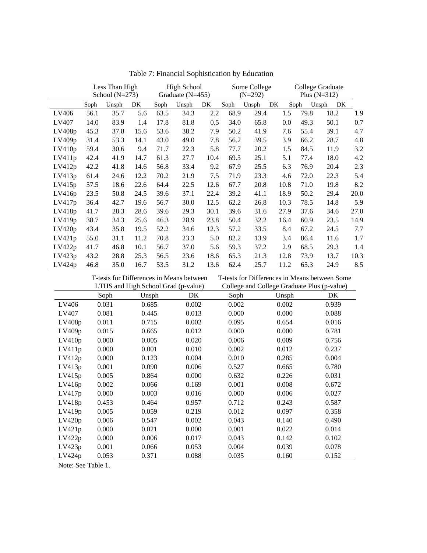|        | Less Than High<br>School $(N=273)$ |       | <b>High School</b><br>Graduate $(N=455)$ |      | Some College<br>$(N=292)$ |      |      | College Graduate<br>Plus $(N=312)$ |      |      |             |      |
|--------|------------------------------------|-------|------------------------------------------|------|---------------------------|------|------|------------------------------------|------|------|-------------|------|
|        | Soph                               | Unsph | DK.                                      | Soph | Unsph                     | DK   | Soph | Unsph                              | DK   | Soph | Unsph<br>DK |      |
| LV406  | 56.1                               | 35.7  | 5.6                                      | 63.5 | 34.3                      | 2.2  | 68.9 | 29.4                               | 1.5  | 79.8 | 18.2        | 1.9  |
| LV407  | 14.0                               | 83.9  | 1.4                                      | 17.8 | 81.8                      | 0.5  | 34.0 | 65.8                               | 0.0  | 49.3 | 50.1        | 0.7  |
| LV408p | 45.3                               | 37.8  | 15.6                                     | 53.6 | 38.2                      | 7.9  | 50.2 | 41.9                               | 7.6  | 55.4 | 39.1        | 4.7  |
| LV409p | 31.4                               | 53.3  | 14.1                                     | 43.0 | 49.0                      | 7.8  | 56.2 | 39.5                               | 3.9  | 66.2 | 28.7        | 4.8  |
| LV410p | 59.4                               | 30.6  | 9.4                                      | 71.7 | 22.3                      | 5.8  | 77.7 | 20.2                               | 1.5  | 84.5 | 11.9        | 3.2  |
| LV411p | 42.4                               | 41.9  | 14.7                                     | 61.3 | 27.7                      | 10.4 | 69.5 | 25.1                               | 5.1  | 77.4 | 18.0        | 4.2  |
| LV412p | 42.2                               | 41.8  | 14.6                                     | 56.8 | 33.4                      | 9.2  | 67.9 | 25.5                               | 6.3  | 76.9 | 20.4        | 2.3  |
| LV413p | 61.4                               | 24.6  | 12.2                                     | 70.2 | 21.9                      | 7.5  | 71.9 | 23.3                               | 4.6  | 72.0 | 22.3        | 5.4  |
| LV415p | 57.5                               | 18.6  | 22.6                                     | 64.4 | 22.5                      | 12.6 | 67.7 | 20.8                               | 10.8 | 71.0 | 19.8        | 8.2  |
| LV416p | 23.5                               | 50.8  | 24.5                                     | 39.6 | 37.1                      | 22.4 | 39.2 | 41.1                               | 18.9 | 50.2 | 29.4        | 20.0 |
| LV417p | 36.4                               | 42.7  | 19.6                                     | 56.7 | 30.0                      | 12.5 | 62.2 | 26.8                               | 10.3 | 78.5 | 14.8        | 5.9  |
| LV418p | 41.7                               | 28.3  | 28.6                                     | 39.6 | 29.3                      | 30.1 | 39.6 | 31.6                               | 27.9 | 37.6 | 34.6        | 27.0 |
| LV419p | 38.7                               | 34.3  | 25.6                                     | 46.3 | 28.9                      | 23.8 | 50.4 | 32.2                               | 16.4 | 60.9 | 23.5        | 14.9 |
| LV420p | 43.4                               | 35.8  | 19.5                                     | 52.2 | 34.6                      | 12.3 | 57.2 | 33.5                               | 8.4  | 67.2 | 24.5        | 7.7  |
| LV421p | 55.0                               | 31.1  | 11.2                                     | 70.8 | 23.3                      | 5.0  | 82.2 | 13.9                               | 3.4  | 86.4 | 11.6        | 1.7  |
| LV422p | 41.7                               | 46.8  | 10.1                                     | 56.7 | 37.0                      | 5.6  | 59.3 | 37.2                               | 2.9  | 68.5 | 29.3        | 1.4  |
| LV423p | 43.2                               | 28.8  | 25.3                                     | 56.5 | 23.6                      | 18.6 | 65.3 | 21.3                               | 12.8 | 73.9 | 13.7        | 10.3 |
| LV424p | 46.8                               | 35.0  | 16.7                                     | 53.5 | 31.2                      | 13.6 | 62.4 | 25.7                               | 11.2 | 65.3 | 24.9        | 8.5  |

Table 7: Financial Sophistication by Education

|        |       | T-tests for Differences in Means between |       | T-tests for Differences in Means between Some |                                             |       |  |  |  |
|--------|-------|------------------------------------------|-------|-----------------------------------------------|---------------------------------------------|-------|--|--|--|
|        |       | LTHS and High School Grad (p-value)      |       |                                               | College and College Graduate Plus (p-value) |       |  |  |  |
|        | Soph  | Unsph                                    | DK    | Soph                                          | Unsph                                       | DK.   |  |  |  |
| LV406  | 0.031 | 0.685                                    | 0.002 | 0.002                                         | 0.002                                       | 0.939 |  |  |  |
| LV407  | 0.081 | 0.445                                    | 0.013 | 0.000                                         | 0.000                                       | 0.088 |  |  |  |
| LV408p | 0.011 | 0.715                                    | 0.002 | 0.095                                         | 0.654                                       | 0.016 |  |  |  |
| LV409p | 0.015 | 0.665                                    | 0.012 | 0.000                                         | 0.000                                       | 0.781 |  |  |  |
| LV410p | 0.000 | 0.005                                    | 0.020 | 0.006                                         | 0.009                                       | 0.756 |  |  |  |
| LV411p | 0.000 | 0.001                                    | 0.010 | 0.002                                         | 0.012                                       | 0.237 |  |  |  |
| LV412p | 0.000 | 0.123                                    | 0.004 | 0.010                                         | 0.285                                       | 0.004 |  |  |  |
| LV413p | 0.001 | 0.090                                    | 0.006 | 0.527                                         | 0.665                                       | 0.780 |  |  |  |
| LV415p | 0.005 | 0.864                                    | 0.000 | 0.632                                         | 0.226                                       | 0.031 |  |  |  |
| LV416p | 0.002 | 0.066                                    | 0.169 | 0.001                                         | 0.008                                       | 0.672 |  |  |  |
| LV417p | 0.000 | 0.003                                    | 0.016 | 0.000                                         | 0.006                                       | 0.027 |  |  |  |
| LV418p | 0.453 | 0.464                                    | 0.957 | 0.712                                         | 0.243                                       | 0.587 |  |  |  |
| LV419p | 0.005 | 0.059                                    | 0.219 | 0.012                                         | 0.097                                       | 0.358 |  |  |  |
| LV420p | 0.006 | 0.547                                    | 0.002 | 0.043                                         | 0.140                                       | 0.490 |  |  |  |
| LV421p | 0.000 | 0.021                                    | 0.000 | 0.001                                         | 0.022                                       | 0.014 |  |  |  |
| LV422p | 0.000 | 0.006                                    | 0.017 | 0.043                                         | 0.142                                       | 0.102 |  |  |  |
| LV423p | 0.001 | 0.066                                    | 0.053 | 0.004                                         | 0.039                                       | 0.078 |  |  |  |
| LV424p | 0.053 | 0.371                                    | 0.088 | 0.035                                         | 0.160                                       | 0.152 |  |  |  |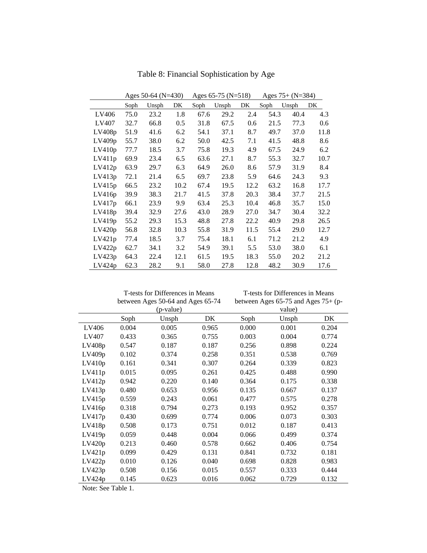|        | Ages 50-64 (N=430) |       |         |      | Ages $65-75$ (N=518) |      | Ages $75+$ (N=384) |       |      |
|--------|--------------------|-------|---------|------|----------------------|------|--------------------|-------|------|
|        | Soph               | Unsph | DK      | Soph | Unsph                | DK   | Soph               | Unsph | DK   |
| LV406  | 75.0               | 23.2  | 1.8     | 67.6 | 29.2                 | 2.4  | 54.3               | 40.4  | 4.3  |
| LV407  | 32.7               | 66.8  | $0.5\,$ | 31.8 | 67.5                 | 0.6  | 21.5               | 77.3  | 0.6  |
| LV408p | 51.9               | 41.6  | 6.2     | 54.1 | 37.1                 | 8.7  | 49.7               | 37.0  | 11.8 |
| LV409p | 55.7               | 38.0  | 6.2     | 50.0 | 42.5                 | 7.1  | 41.5               | 48.8  | 8.6  |
| LV410p | 77.7               | 18.5  | 3.7     | 75.8 | 19.3                 | 4.9  | 67.5               | 24.9  | 6.2  |
| LV411p | 69.9               | 23.4  | 6.5     | 63.6 | 27.1                 | 8.7  | 55.3               | 32.7  | 10.7 |
| LV412p | 63.9               | 29.7  | 6.3     | 64.9 | 26.0                 | 8.6  | 57.9               | 31.9  | 8.4  |
| LV413p | 72.1               | 21.4  | 6.5     | 69.7 | 23.8                 | 5.9  | 64.6               | 24.3  | 9.3  |
| LV415p | 66.5               | 23.2  | 10.2    | 67.4 | 19.5                 | 12.2 | 63.2               | 16.8  | 17.7 |
| LV416p | 39.9               | 38.3  | 21.7    | 41.5 | 37.8                 | 20.3 | 38.4               | 37.7  | 21.5 |
| LV417p | 66.1               | 23.9  | 9.9     | 63.4 | 25.3                 | 10.4 | 46.8               | 35.7  | 15.0 |
| LV418p | 39.4               | 32.9  | 27.6    | 43.0 | 28.9                 | 27.0 | 34.7               | 30.4  | 32.2 |
| LV419p | 55.2               | 29.3  | 15.3    | 48.8 | 27.8                 | 22.2 | 40.9               | 29.8  | 26.5 |
| LV420p | 56.8               | 32.8  | 10.3    | 55.8 | 31.9                 | 11.5 | 55.4               | 29.0  | 12.7 |
| LV421p | 77.4               | 18.5  | 3.7     | 75.4 | 18.1                 | 6.1  | 71.2               | 21.2  | 4.9  |
| LV422p | 62.7               | 34.1  | 3.2     | 54.9 | 39.1                 | 5.5  | 53.0               | 38.0  | 6.1  |
| LV423p | 64.3               | 22.4  | 12.1    | 61.5 | 19.5                 | 18.3 | 55.0               | 20.2  | 21.2 |
| LV424p | 62.3               | 28.2  | 9.1     | 58.0 | 27.8                 | 12.8 | 48.2               | 30.9  | 17.6 |

Table 8: Financial Sophistication by Age

T-tests for Differences in Means

T-tests for Differences in Means

|        |       | between Ages 50-64 and Ages 65-74 |       | between Ages $65-75$ and Ages $75+$ (p- |        |       |  |  |  |
|--------|-------|-----------------------------------|-------|-----------------------------------------|--------|-------|--|--|--|
|        |       | (p-value)                         |       |                                         | value) |       |  |  |  |
|        | Soph  | Unsph                             | DK    | Soph                                    | Unsph  | DK    |  |  |  |
| LV406  | 0.004 | 0.005                             | 0.965 | 0.000                                   | 0.001  | 0.204 |  |  |  |
| LV407  | 0.433 | 0.365                             | 0.755 | 0.003                                   | 0.004  | 0.774 |  |  |  |
| LV408p | 0.547 | 0.187                             | 0.187 | 0.256                                   | 0.898  | 0.224 |  |  |  |
| LV409p | 0.102 | 0.374                             | 0.258 | 0.351                                   | 0.538  | 0.769 |  |  |  |
| LV410p | 0.161 | 0.341                             | 0.307 | 0.264                                   | 0.339  | 0.823 |  |  |  |
| LV411p | 0.015 | 0.095                             | 0.261 | 0.425                                   | 0.488  | 0.990 |  |  |  |
| LV412p | 0.942 | 0.220                             | 0.140 | 0.364                                   | 0.175  | 0.338 |  |  |  |
| LV413p | 0.480 | 0.653                             | 0.956 | 0.135                                   | 0.667  | 0.137 |  |  |  |
| LV415p | 0.559 | 0.243                             | 0.061 | 0.477                                   | 0.575  | 0.278 |  |  |  |
| LV416p | 0.318 | 0.794                             | 0.273 | 0.193                                   | 0.952  | 0.357 |  |  |  |
| LV417p | 0.430 | 0.699                             | 0.774 | 0.006                                   | 0.073  | 0.303 |  |  |  |
| LV418p | 0.508 | 0.173                             | 0.751 | 0.012                                   | 0.187  | 0.413 |  |  |  |
| LV419p | 0.059 | 0.448                             | 0.004 | 0.066                                   | 0.499  | 0.374 |  |  |  |
| LV420p | 0.213 | 0.460                             | 0.578 | 0.662                                   | 0.406  | 0.754 |  |  |  |
| LV421p | 0.099 | 0.429                             | 0.131 | 0.841                                   | 0.732  | 0.181 |  |  |  |
| LV422p | 0.010 | 0.126                             | 0.040 | 0.698                                   | 0.828  | 0.983 |  |  |  |
| LV423p | 0.508 | 0.156                             | 0.015 | 0.557                                   | 0.333  | 0.444 |  |  |  |
| LV424p | 0.145 | 0.623                             | 0.016 | 0.062                                   | 0.729  | 0.132 |  |  |  |